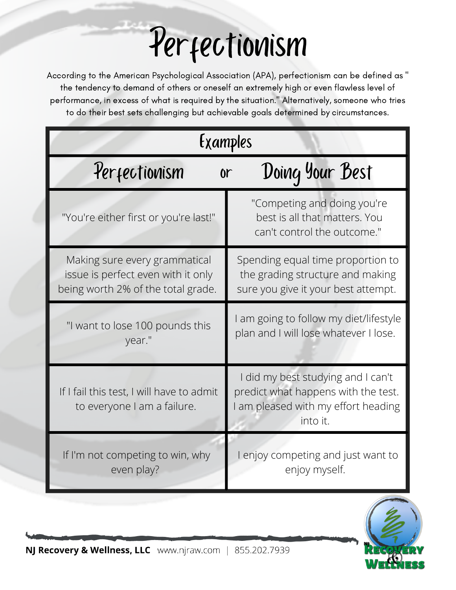

According to the American Psychological Association (APA), perfectionism can be defined as " the tendency to demand of others or oneself an extremely high or even flawless level of performance, in excess of what is required by the situation." Alternatively, someone who tries to do their best sets challenging but achievable goals determined by circumstances.

| Examples                                                                                                  |                                                                                                                              |
|-----------------------------------------------------------------------------------------------------------|------------------------------------------------------------------------------------------------------------------------------|
| Perfectionism                                                                                             | Doing Your Best<br>0 <sup>r</sup>                                                                                            |
| "You're either first or you're last!"                                                                     | "Competing and doing you're<br>best is all that matters. You<br>can't control the outcome."                                  |
| Making sure every grammatical<br>issue is perfect even with it only<br>being worth 2% of the total grade. | Spending equal time proportion to<br>the grading structure and making<br>sure you give it your best attempt.                 |
| "I want to lose 100 pounds this<br>year."                                                                 | I am going to follow my diet/lifestyle<br>plan and I will lose whatever I lose.                                              |
| If I fail this test, I will have to admit<br>to everyone I am a failure.                                  | I did my best studying and I can't<br>predict what happens with the test.<br>I am pleased with my effort heading<br>into it. |
| If I'm not competing to win, why<br>even play?                                                            | I enjoy competing and just want to<br>enjoy myself.                                                                          |